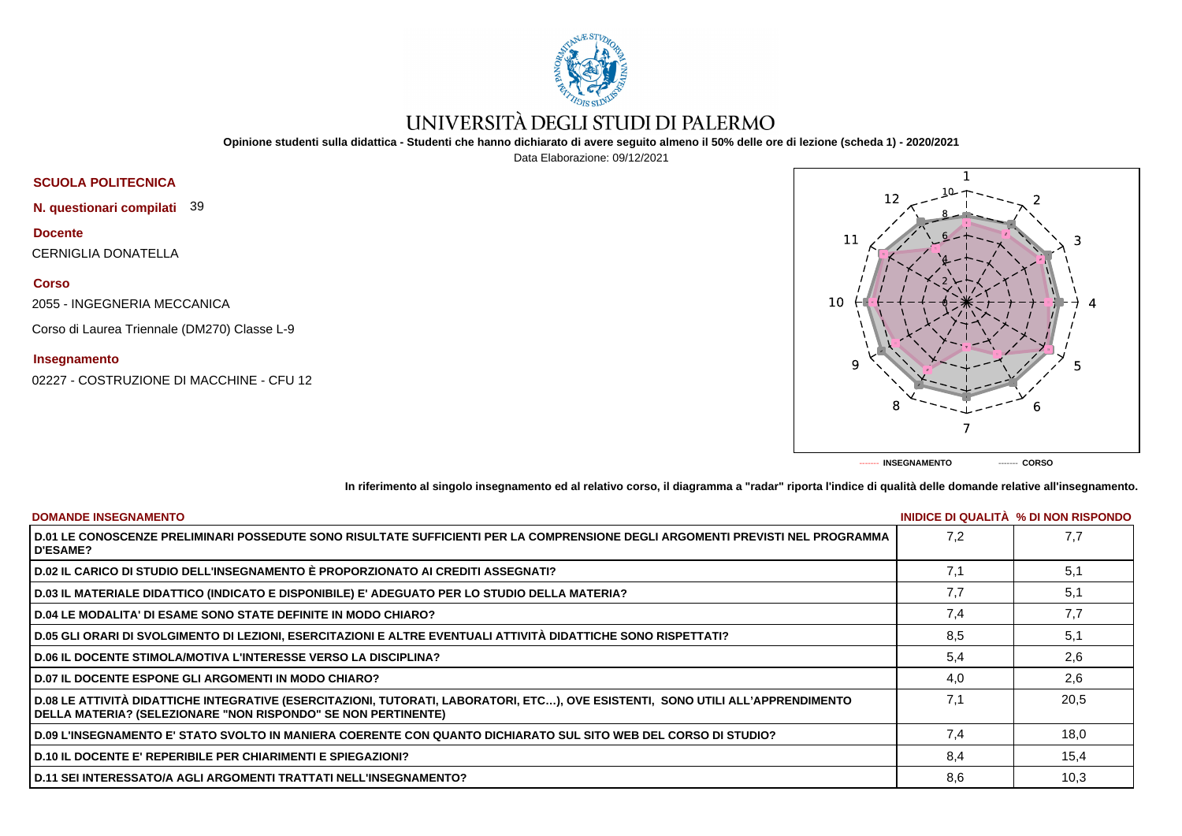

# UNIVERSITÀ DEGLI STUDI DI PALERMO

**Opinione studenti sulla didattica - Studenti che hanno dichiarato di avere seguito almeno il 50% delle ore di lezione (scheda 1) - 2020/2021**

Data Elaborazione: 09/12/2021



**N. questionari compilati** 39

## **Docente**

CERNIGLIA DONATELLA

### **Corso**

2055 - INGEGNERIA MECCANICA

Corso di Laurea Triennale (DM270) Classe L-9

### **Insegnamento**

02227 - COSTRUZIONE DI MACCHINE - CFU 12



**In riferimento al singolo insegnamento ed al relativo corso, il diagramma a "radar" riporta l'indice di qualità delle domande relative all'insegnamento.**

| <b>DOMANDE INSEGNAMENTO</b>                                                                                                                                                                             |     | INIDICE DI QUALITA % DI NON RISPONDO |
|---------------------------------------------------------------------------------------------------------------------------------------------------------------------------------------------------------|-----|--------------------------------------|
| D.01 LE CONOSCENZE PRELIMINARI POSSEDUTE SONO RISULTATE SUFFICIENTI PER LA COMPRENSIONE DEGLI ARGOMENTI PREVISTI NEL PROGRAMMA<br><b>D'ESAME?</b>                                                       | 7.2 | 7.7                                  |
| D.02 IL CARICO DI STUDIO DELL'INSEGNAMENTO È PROPORZIONATO AI CREDITI ASSEGNATI?                                                                                                                        | 7.1 | 5,1                                  |
| D.03 IL MATERIALE DIDATTICO (INDICATO E DISPONIBILE) E' ADEGUATO PER LO STUDIO DELLA MATERIA?                                                                                                           | 7.7 | 5,1                                  |
| <b>D.04 LE MODALITA' DI ESAME SONO STATE DEFINITE IN MODO CHIARO?</b>                                                                                                                                   | 7,4 | 7,7                                  |
| D.05 GLI ORARI DI SVOLGIMENTO DI LEZIONI, ESERCITAZIONI E ALTRE EVENTUALI ATTIVITÀ DIDATTICHE SONO RISPETTATI?                                                                                          | 8.5 | 5,1                                  |
| <b>D.06 IL DOCENTE STIMOLA/MOTIVA L'INTERESSE VERSO LA DISCIPLINA?</b>                                                                                                                                  | 5,4 | 2,6                                  |
| <b>D.07 IL DOCENTE ESPONE GLI ARGOMENTI IN MODO CHIARO?</b>                                                                                                                                             | 4.0 | 2,6                                  |
| D.08 LE ATTIVITÀ DIDATTICHE INTEGRATIVE (ESERCITAZIONI, TUTORATI, LABORATORI, ETC), OVE ESISTENTI, SONO UTILI ALL'APPRENDIMENTO<br><b>DELLA MATERIA? (SELEZIONARE "NON RISPONDO" SE NON PERTINENTE)</b> | 7.1 | 20.5                                 |
| D.09 L'INSEGNAMENTO E' STATO SVOLTO IN MANIERA COERENTE CON QUANTO DICHIARATO SUL SITO WEB DEL CORSO DI STUDIO?                                                                                         | 7.4 | 18.0                                 |
| <b>D.10 IL DOCENTE E' REPERIBILE PER CHIARIMENTI E SPIEGAZIONI?</b>                                                                                                                                     | 8,4 | 15,4                                 |
| <b>D.11 SEI INTERESSATO/A AGLI ARGOMENTI TRATTATI NELL'INSEGNAMENTO?</b>                                                                                                                                | 8,6 | 10,3                                 |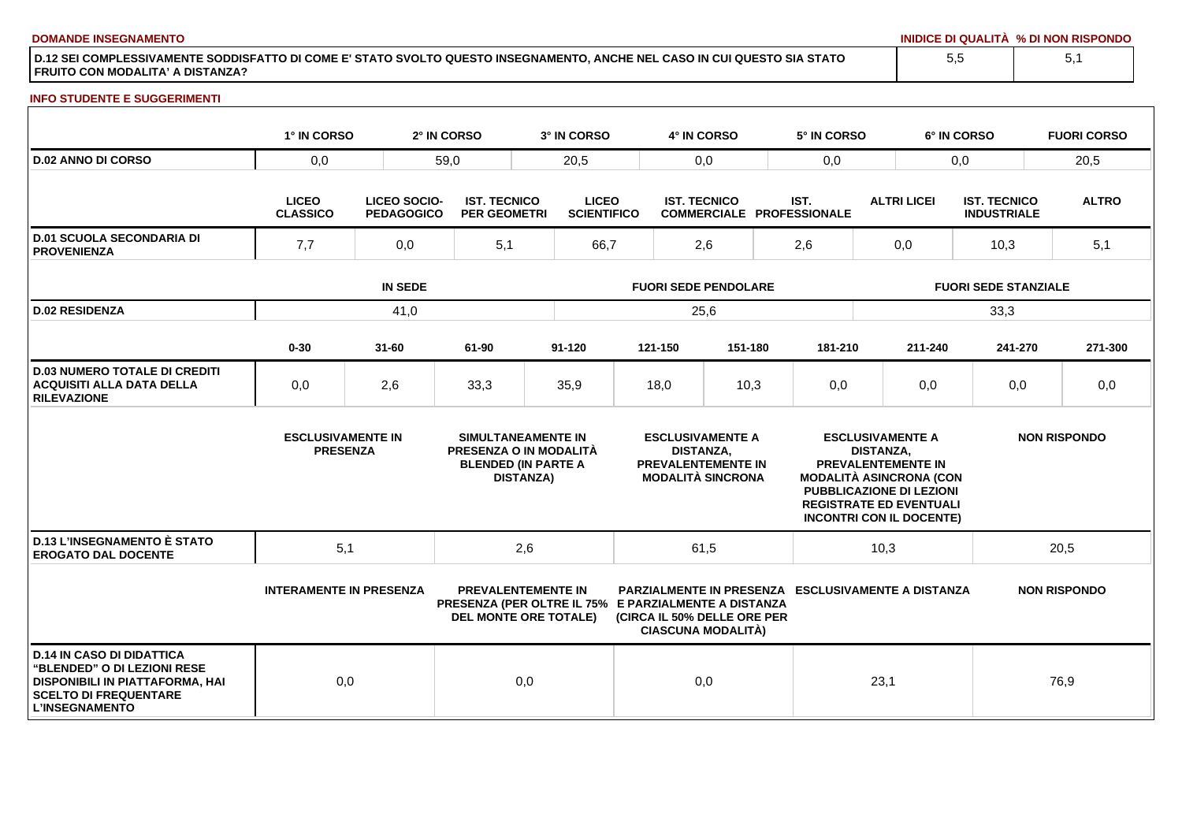**DOMANDE INSEGNAMENTO INIDICE DI QUALITÀ % DI NON RISPONDO**

**D.12 SEI COMPLESSIVAMENTE SODDISFATTO DI COME E' STATO SVOLTO QUESTO INSEGNAMENTO, ANCHE NEL CASO IN CUI QUESTO SIA STATO FRUITO CON MODALITA' A DISTANZA?**

#### **INFO STUDENTE E SUGGERIMENTI**

|                                                                                                                                                                    | 1° IN CORSO                                                                 |           | 2° IN CORSO                                | 3° IN CORSO                                                                                                       |                             | 4° IN CORSO         |                                                                                  |                                          | 5° IN CORSO                                                                                                                                           |                                             | 6° IN CORSO |                                           | <b>FUORI CORSO</b>  |
|--------------------------------------------------------------------------------------------------------------------------------------------------------------------|-----------------------------------------------------------------------------|-----------|--------------------------------------------|-------------------------------------------------------------------------------------------------------------------|-----------------------------|---------------------|----------------------------------------------------------------------------------|------------------------------------------|-------------------------------------------------------------------------------------------------------------------------------------------------------|---------------------------------------------|-------------|-------------------------------------------|---------------------|
| <b>D.02 ANNO DI CORSO</b>                                                                                                                                          | 0,0                                                                         | 59,0      |                                            | 20,5                                                                                                              |                             | 0,0                 |                                                                                  | 0,0                                      |                                                                                                                                                       | 0,0                                         |             |                                           | 20,5                |
|                                                                                                                                                                    | <b>LICEO</b><br><b>LICEO SOCIO-</b><br><b>CLASSICO</b><br><b>PEDAGOGICO</b> |           | <b>IST. TECNICO</b><br><b>PER GEOMETRI</b> | <b>LICEO</b><br><b>SCIENTIFICO</b>                                                                                |                             | <b>IST. TECNICO</b> |                                                                                  | IST.<br><b>COMMERCIALE PROFESSIONALE</b> |                                                                                                                                                       | <b>ALTRI LICEI</b>                          |             | <b>IST. TECNICO</b><br><b>INDUSTRIALE</b> | <b>ALTRO</b>        |
| <b>D.01 SCUOLA SECONDARIA DI</b><br><b>PROVENIENZA</b>                                                                                                             | 7,7<br>0,0                                                                  |           | 5,1                                        | 66,7                                                                                                              |                             | 2,6                 |                                                                                  |                                          | 2,6                                                                                                                                                   | 0,0                                         |             | 10,3                                      | 5,1                 |
|                                                                                                                                                                    | <b>IN SEDE</b>                                                              |           |                                            |                                                                                                                   | <b>FUORI SEDE PENDOLARE</b> |                     |                                                                                  |                                          |                                                                                                                                                       | <b>FUORI SEDE STANZIALE</b>                 |             |                                           |                     |
| <b>D.02 RESIDENZA</b>                                                                                                                                              |                                                                             | 41,0      |                                            |                                                                                                                   | 25,6                        |                     |                                                                                  |                                          |                                                                                                                                                       | 33,3                                        |             |                                           |                     |
|                                                                                                                                                                    | $0 - 30$                                                                    | $31 - 60$ | 61-90                                      | $91 - 120$                                                                                                        |                             | 121-150             | 151-180                                                                          |                                          | 181-210                                                                                                                                               |                                             | 211-240     | 241-270                                   | 271-300             |
| <b>D.03 NUMERO TOTALE DI CREDITI</b><br><b>ACQUISITI ALLA DATA DELLA</b><br><b>RILEVAZIONE</b>                                                                     | 0,0                                                                         | 2,6       | 33,3                                       | 35,9                                                                                                              |                             | 18,0                | 10,3                                                                             |                                          | 0,0                                                                                                                                                   |                                             | 0,0         | 0,0                                       | 0,0                 |
|                                                                                                                                                                    | <b>ESCLUSIVAMENTE IN</b><br><b>PRESENZA</b>                                 |           |                                            | SIMULTANEAMENTE IN<br>PRESENZA O IN MODALITÀ<br><b>BLENDED (IN PARTE A</b><br><b>DISTANZA)</b>                    |                             | <b>DISTANZA,</b>    | <b>ESCLUSIVAMENTE A</b><br><b>PREVALENTEMENTE IN</b><br><b>MODALITÀ SINCRONA</b> |                                          | PREVALENTEMENTE IN<br><b>MODALITÀ ASINCRONA (CON</b><br>PUBBLICAZIONE DI LEZIONI<br><b>REGISTRATE ED EVENTUALI</b><br><b>INCONTRI CON IL DOCENTE)</b> | <b>ESCLUSIVAMENTE A</b><br><b>DISTANZA.</b> |             |                                           | <b>NON RISPONDO</b> |
| <b>D.13 L'INSEGNAMENTO È STATO</b><br><b>EROGATO DAL DOCENTE</b>                                                                                                   | 5,1                                                                         |           |                                            | 2,6                                                                                                               |                             | 61,5                |                                                                                  |                                          |                                                                                                                                                       | 10,3                                        |             |                                           | 20,5                |
|                                                                                                                                                                    | <b>INTERAMENTE IN PRESENZA</b>                                              |           |                                            | <b>PREVALENTEMENTE IN</b><br>PRESENZA (PER OLTRE IL 75% E PARZIALMENTE A DISTANZA<br><b>DEL MONTE ORE TOTALE)</b> |                             |                     | (CIRCA IL 50% DELLE ORE PER<br><b>CIASCUNA MODALITÀ)</b>                         |                                          | <b>PARZIALMENTE IN PRESENZA ESCLUSIVAMENTE A DISTANZA</b>                                                                                             |                                             |             |                                           | <b>NON RISPONDO</b> |
| <b>D.14 IN CASO DI DIDATTICA</b><br><b>"BLENDED" O DI LEZIONI RESE</b><br>DISPONIBILI IN PIATTAFORMA, HAI<br><b>SCELTO DI FREQUENTARE</b><br><b>L'INSEGNAMENTO</b> | 0,0                                                                         |           |                                            | 0,0                                                                                                               |                             | 0,0                 |                                                                                  |                                          |                                                                                                                                                       | 23,1                                        |             |                                           | 76,9                |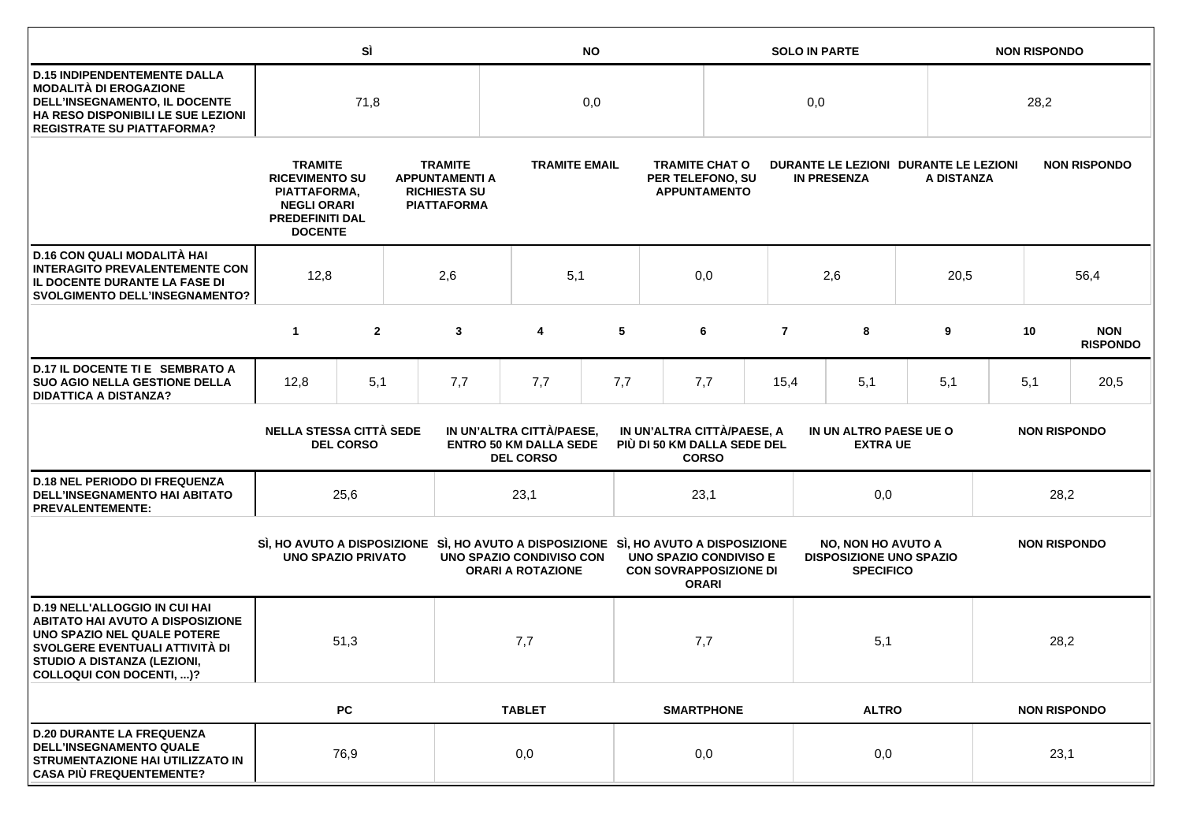|                                                                                                                                                                                                             |                                                                                                                                                                                                                   | SÌ                                                                                                                                                                                                                                                            |     | <b>NO</b>                                                                                                       |                          |                                                                  |                   |                                                                                |                | <b>SOLO IN PARTE</b> |                                                                                 |                     | <b>NON RISPONDO</b> |                     |                               |
|-------------------------------------------------------------------------------------------------------------------------------------------------------------------------------------------------------------|-------------------------------------------------------------------------------------------------------------------------------------------------------------------------------------------------------------------|---------------------------------------------------------------------------------------------------------------------------------------------------------------------------------------------------------------------------------------------------------------|-----|-----------------------------------------------------------------------------------------------------------------|--------------------------|------------------------------------------------------------------|-------------------|--------------------------------------------------------------------------------|----------------|----------------------|---------------------------------------------------------------------------------|---------------------|---------------------|---------------------|-------------------------------|
| <b>D.15 INDIPENDENTEMENTE DALLA</b><br><b>MODALITÀ DI EROGAZIONE</b><br>DELL'INSEGNAMENTO, IL DOCENTE<br>HA RESO DISPONIBILI LE SUE LEZIONI<br><b>REGISTRATE SU PIATTAFORMA?</b>                            | 71,8                                                                                                                                                                                                              |                                                                                                                                                                                                                                                               |     | 0,0                                                                                                             |                          |                                                                  |                   | 0,0                                                                            |                |                      |                                                                                 | 28,2                |                     |                     |                               |
|                                                                                                                                                                                                             | <b>TRAMITE</b><br><b>TRAMITE</b><br><b>RICEVIMENTO SU</b><br><b>APPUNTAMENTI A</b><br><b>RICHIESTA SU</b><br>PIATTAFORMA,<br><b>NEGLI ORARI</b><br><b>PIATTAFORMA</b><br><b>PREDEFINITI DAL</b><br><b>DOCENTE</b> |                                                                                                                                                                                                                                                               |     | <b>TRAMITE EMAIL</b>                                                                                            |                          | <b>TRAMITE CHAT O</b><br>PER TELEFONO, SU<br><b>APPUNTAMENTO</b> |                   | DURANTE LE LEZIONI DURANTE LE LEZIONI<br><b>IN PRESENZA</b>                    |                | A DISTANZA           |                                                                                 |                     | <b>NON RISPONDO</b> |                     |                               |
| D.16 CON QUALI MODALITÀ HAI<br><b>INTERAGITO PREVALENTEMENTE CON</b><br>IL DOCENTE DURANTE LA FASE DI<br><b>SVOLGIMENTO DELL'INSEGNAMENTO?</b>                                                              | 12,8                                                                                                                                                                                                              |                                                                                                                                                                                                                                                               | 2,6 | 5,1                                                                                                             |                          | 0,0                                                              |                   | 2,6                                                                            |                | 20,5                 |                                                                                 | 56,4                |                     |                     |                               |
|                                                                                                                                                                                                             | $\mathbf{1}$                                                                                                                                                                                                      | $\overline{2}$                                                                                                                                                                                                                                                |     | 3                                                                                                               | 4                        | 5                                                                |                   | 6                                                                              | $\overline{7}$ |                      | 8                                                                               | 9                   |                     | 10                  | <b>NON</b><br><b>RISPONDO</b> |
| D.17 IL DOCENTE TI E SEMBRATO A<br><b>SUO AGIO NELLA GESTIONE DELLA</b><br><b>DIDATTICA A DISTANZA?</b>                                                                                                     | 12,8                                                                                                                                                                                                              | 5,1                                                                                                                                                                                                                                                           |     | 7,7                                                                                                             | 7,7                      | 7,7                                                              |                   | 7,7                                                                            | 15,4           |                      | 5,1                                                                             | 5,1                 |                     | 5,1                 | 20,5                          |
|                                                                                                                                                                                                             |                                                                                                                                                                                                                   | <b>NELLA STESSA CITTÀ SEDE</b><br>IN UN'ALTRA CITTÀ/PAESE,<br>IN UN'ALTRA CITTÀ/PAESE, A<br>IN UN ALTRO PAESE UE O<br><b>ENTRO 50 KM DALLA SEDE</b><br>PIÙ DI 50 KM DALLA SEDE DEL<br><b>DEL CORSO</b><br><b>EXTRA UE</b><br><b>DEL CORSO</b><br><b>CORSO</b> |     | <b>NON RISPONDO</b>                                                                                             |                          |                                                                  |                   |                                                                                |                |                      |                                                                                 |                     |                     |                     |                               |
| <b>D.18 NEL PERIODO DI FREQUENZA</b><br><b>DELL'INSEGNAMENTO HAI ABITATO</b><br><b>PREVALENTEMENTE:</b>                                                                                                     |                                                                                                                                                                                                                   | 25,6                                                                                                                                                                                                                                                          |     |                                                                                                                 | 23,1                     |                                                                  |                   | 23,1                                                                           |                |                      | 0,0                                                                             |                     | 28,2                |                     |                               |
|                                                                                                                                                                                                             | <b>UNO SPAZIO PRIVATO</b>                                                                                                                                                                                         |                                                                                                                                                                                                                                                               |     | SI, HO AVUTO A DISPOSIZIONE SI, HO AVUTO A DISPOSIZIONE SI, HO AVUTO A DISPOSIZIONE<br>UNO SPAZIO CONDIVISO CON | <b>ORARI A ROTAZIONE</b> |                                                                  |                   | <b>UNO SPAZIO CONDIVISO E</b><br><b>CON SOVRAPPOSIZIONE DI</b><br><b>ORARI</b> |                |                      | <b>NO, NON HO AVUTO A</b><br><b>DISPOSIZIONE UNO SPAZIO</b><br><b>SPECIFICO</b> |                     |                     | <b>NON RISPONDO</b> |                               |
| <b>D.19 NELL'ALLOGGIO IN CUI HAI</b><br><b>ABITATO HAI AVUTO A DISPOSIZIONE</b><br>UNO SPAZIO NEL QUALE POTERE<br>SVOLGERE EVENTUALI ATTIVITÀ DI<br>STUDIO A DISTANZA (LEZIONI,<br>COLLOQUI CON DOCENTI, )? |                                                                                                                                                                                                                   | 51,3                                                                                                                                                                                                                                                          |     |                                                                                                                 | 7,7                      |                                                                  | 7,7               |                                                                                |                | 5,1                  |                                                                                 |                     |                     | 28,2                |                               |
|                                                                                                                                                                                                             |                                                                                                                                                                                                                   | <b>PC</b>                                                                                                                                                                                                                                                     |     |                                                                                                                 | <b>TABLET</b>            |                                                                  | <b>SMARTPHONE</b> |                                                                                |                | <b>ALTRO</b>         |                                                                                 | <b>NON RISPONDO</b> |                     |                     |                               |
| <b>D.20 DURANTE LA FREQUENZA</b><br><b>DELL'INSEGNAMENTO QUALE</b><br>STRUMENTAZIONE HAI UTILIZZATO IN<br><b>CASA PIÙ FREQUENTEMENTE?</b>                                                                   | 76,9                                                                                                                                                                                                              |                                                                                                                                                                                                                                                               |     | 0,0                                                                                                             |                          | 0,0                                                              |                   | 0,0                                                                            |                | 23,1                 |                                                                                 |                     |                     |                     |                               |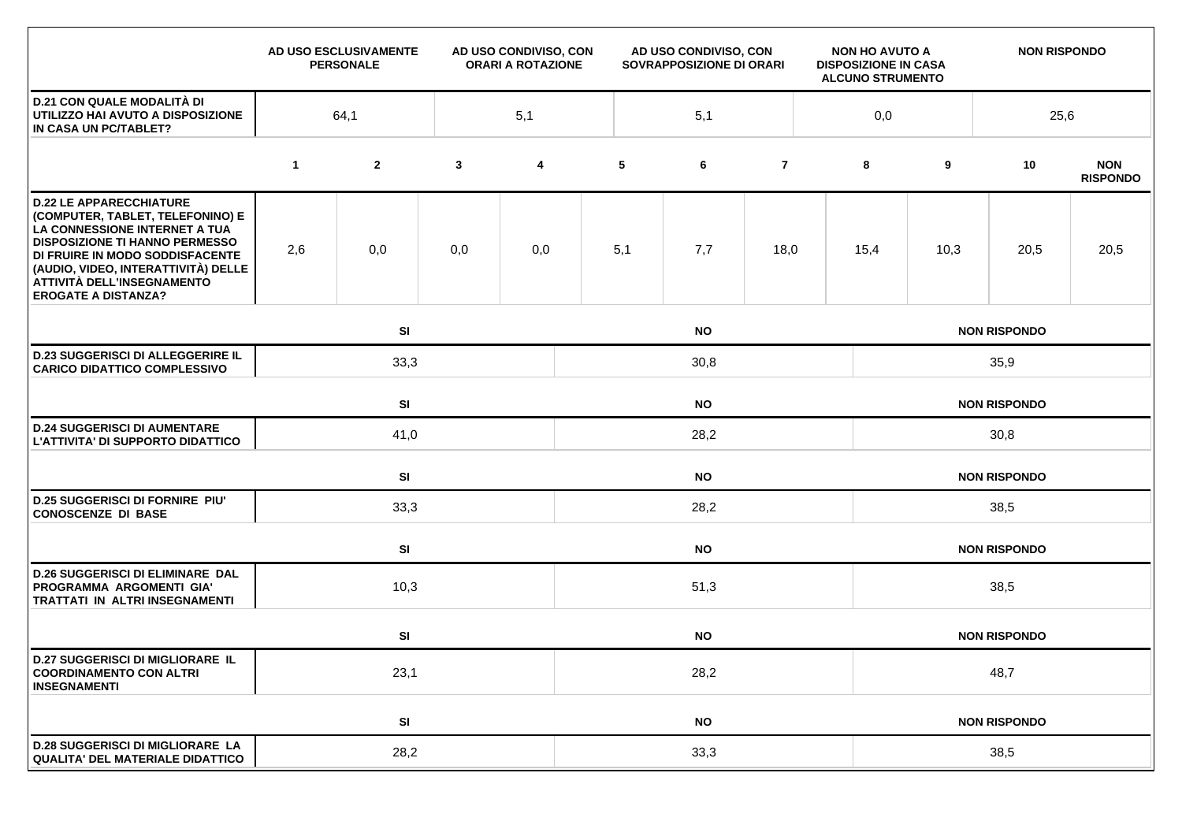|                                                                                                                                                                                                                                                                                    |              | AD USO ESCLUSIVAMENTE<br><b>PERSONALE</b> | AD USO CONDIVISO, CON<br><b>ORARI A ROTAZIONE</b> |     | AD USO CONDIVISO, CON<br>SOVRAPPOSIZIONE DI ORARI |     |                |  | <b>NON HO AVUTO A</b><br><b>DISPOSIZIONE IN CASA</b><br><b>ALCUNO STRUMENTO</b> |                     | <b>NON RISPONDO</b> |                               |  |
|------------------------------------------------------------------------------------------------------------------------------------------------------------------------------------------------------------------------------------------------------------------------------------|--------------|-------------------------------------------|---------------------------------------------------|-----|---------------------------------------------------|-----|----------------|--|---------------------------------------------------------------------------------|---------------------|---------------------|-------------------------------|--|
| <b>D.21 CON QUALE MODALITÀ DI</b><br>UTILIZZO HAI AVUTO A DISPOSIZIONE<br>IN CASA UN PC/TABLET?                                                                                                                                                                                    | 5,1<br>64,1  |                                           |                                                   |     | 5,1                                               |     |                |  |                                                                                 | 0,0<br>25,6         |                     |                               |  |
|                                                                                                                                                                                                                                                                                    | $\mathbf{1}$ | $\mathbf{2}$                              | $\mathbf{3}$                                      | 4   | 5                                                 | 6   | $\overline{7}$ |  | 8                                                                               | 9                   | 10                  | <b>NON</b><br><b>RISPONDO</b> |  |
| <b>D.22 LE APPARECCHIATURE</b><br>(COMPUTER, TABLET, TELEFONINO) E<br>LA CONNESSIONE INTERNET A TUA<br><b>DISPOSIZIONE TI HANNO PERMESSO</b><br>DI FRUIRE IN MODO SODDISFACENTE<br>(AUDIO, VIDEO, INTERATTIVITÀ) DELLE<br>ATTIVITÀ DELL'INSEGNAMENTO<br><b>EROGATE A DISTANZA?</b> | 2,6          | 0,0                                       | 0,0                                               | 0,0 | 5,1                                               | 7,7 | 18,0           |  | 15,4                                                                            | 10,3                | 20,5                | 20,5                          |  |
|                                                                                                                                                                                                                                                                                    |              | SI<br><b>NO</b>                           |                                                   |     |                                                   |     |                |  |                                                                                 |                     | <b>NON RISPONDO</b> |                               |  |
| <b>D.23 SUGGERISCI DI ALLEGGERIRE IL</b><br><b>CARICO DIDATTICO COMPLESSIVO</b>                                                                                                                                                                                                    |              | 33,3                                      |                                                   |     | 30,8                                              |     |                |  |                                                                                 | 35,9                |                     |                               |  |
|                                                                                                                                                                                                                                                                                    |              | SI<br><b>NO</b>                           |                                                   |     |                                                   |     |                |  | <b>NON RISPONDO</b>                                                             |                     |                     |                               |  |
| <b>D.24 SUGGERISCI DI AUMENTARE</b><br>L'ATTIVITA' DI SUPPORTO DIDATTICO                                                                                                                                                                                                           |              | 41,0                                      |                                                   |     | 28,2                                              |     |                |  |                                                                                 | 30,8                |                     |                               |  |
|                                                                                                                                                                                                                                                                                    |              | SI<br><b>NO</b>                           |                                                   |     |                                                   |     |                |  |                                                                                 |                     | <b>NON RISPONDO</b> |                               |  |
| <b>D.25 SUGGERISCI DI FORNIRE PIU'</b><br><b>CONOSCENZE DI BASE</b>                                                                                                                                                                                                                |              | 33,3                                      |                                                   |     | 28,2                                              |     |                |  |                                                                                 | 38,5                |                     |                               |  |
|                                                                                                                                                                                                                                                                                    |              | SI<br><b>NO</b>                           |                                                   |     |                                                   |     |                |  |                                                                                 |                     | <b>NON RISPONDO</b> |                               |  |
| <b>D.26 SUGGERISCI DI ELIMINARE DAL</b><br>PROGRAMMA ARGOMENTI GIA'<br>TRATTATI IN ALTRI INSEGNAMENTI                                                                                                                                                                              |              | 10,3                                      |                                                   |     | 51,3                                              |     |                |  |                                                                                 | 38,5                |                     |                               |  |
|                                                                                                                                                                                                                                                                                    |              | SI<br><b>NO</b>                           |                                                   |     |                                                   |     |                |  | <b>NON RISPONDO</b>                                                             |                     |                     |                               |  |
| <b>D.27 SUGGERISCI DI MIGLIORARE IL</b><br><b>COORDINAMENTO CON ALTRI</b><br><b>INSEGNAMENTI</b>                                                                                                                                                                                   | 23,1         |                                           |                                                   |     | 28,2                                              |     |                |  |                                                                                 | 48,7                |                     |                               |  |
|                                                                                                                                                                                                                                                                                    |              | SI                                        |                                                   |     | <b>NO</b>                                         |     |                |  |                                                                                 | <b>NON RISPONDO</b> |                     |                               |  |
| <b>D.28 SUGGERISCI DI MIGLIORARE LA</b><br><b>QUALITA' DEL MATERIALE DIDATTICO</b>                                                                                                                                                                                                 |              | 28,2                                      |                                                   |     | 33,3                                              |     |                |  |                                                                                 | 38,5                |                     |                               |  |